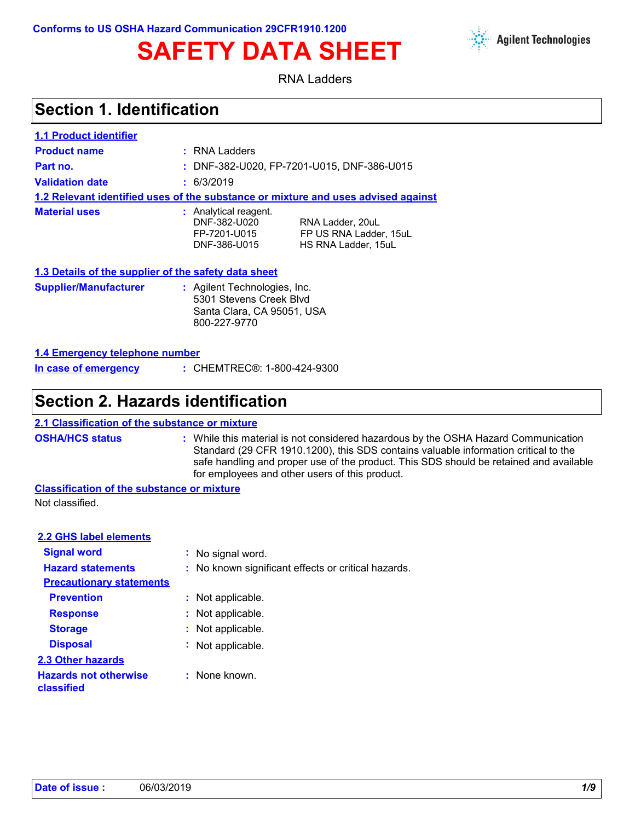**Conforms to US OSHA Hazard Communication 29CFR1910.1200**



RNA Ladders

## **Section 1. Identification**

| <b>1.1 Product identifier</b>                        |                                                                                                                                            |  |  |  |  |  |
|------------------------------------------------------|--------------------------------------------------------------------------------------------------------------------------------------------|--|--|--|--|--|
| <b>Product name</b>                                  | : RNA Ladders                                                                                                                              |  |  |  |  |  |
| Part no.                                             | : DNF-382-U020, FP-7201-U015, DNF-386-U015                                                                                                 |  |  |  |  |  |
| <b>Validation date</b>                               | : 6/3/2019                                                                                                                                 |  |  |  |  |  |
|                                                      | 1.2 Relevant identified uses of the substance or mixture and uses advised against                                                          |  |  |  |  |  |
| <b>Material uses</b>                                 | : Analytical reagent.<br>DNF-382-U020<br>RNA Ladder, 20uL<br>FP US RNA Ladder, 15uL<br>FP-7201-U015<br>DNF-386-U015<br>HS RNA Ladder, 15uL |  |  |  |  |  |
| 1.3 Details of the supplier of the safety data sheet |                                                                                                                                            |  |  |  |  |  |

| <b>Supplier/Manufacturer</b><br>: Agilent Technologies, Inc.<br>5301 Stevens Creek Blyd<br>Santa Clara, CA 95051, USA<br>800-227-9770 |  |
|---------------------------------------------------------------------------------------------------------------------------------------|--|
|---------------------------------------------------------------------------------------------------------------------------------------|--|

### **1.4 Emergency telephone number**

| In case of emergency | : CHEMTREC®: 1-800-424-9300 |
|----------------------|-----------------------------|
|                      |                             |

## **Section 2. Hazards identification**

### **2.1 Classification of the substance or mixture**

**OSHA/HCS status :** While this material is not considered hazardous by the OSHA Hazard Communication Standard (29 CFR 1910.1200), this SDS contains valuable information critical to the safe handling and proper use of the product. This SDS should be retained and available for employees and other users of this product.

**Classification of the substance or mixture** Not classified.

| <b>2.2 GHS label elements</b>              |                                                     |
|--------------------------------------------|-----------------------------------------------------|
| <b>Signal word</b>                         | : No signal word.                                   |
| <b>Hazard statements</b>                   | : No known significant effects or critical hazards. |
| <b>Precautionary statements</b>            |                                                     |
| <b>Prevention</b>                          | : Not applicable.                                   |
| <b>Response</b>                            | : Not applicable.                                   |
| <b>Storage</b>                             | : Not applicable.                                   |
| <b>Disposal</b>                            | : Not applicable.                                   |
| 2.3 Other hazards                          |                                                     |
| <b>Hazards not otherwise</b><br>classified | : None known.                                       |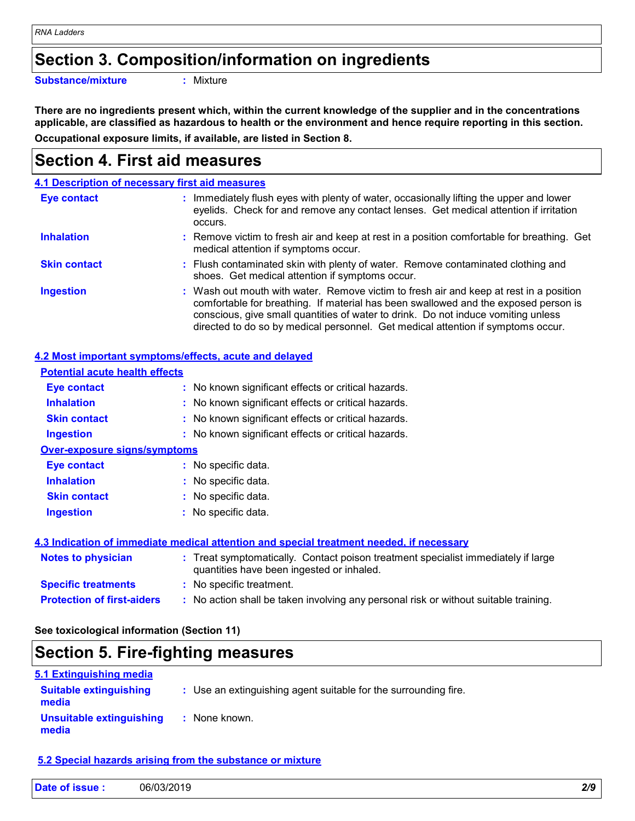## **Section 3. Composition/information on ingredients**

**Substance/mixture :**

: Mixture

**Occupational exposure limits, if available, are listed in Section 8. There are no ingredients present which, within the current knowledge of the supplier and in the concentrations applicable, are classified as hazardous to health or the environment and hence require reporting in this section.**

## **Section 4. First aid measures**

|                     | 4.1 Description of necessary first aid measures                                                                                                                                                                                                                                                                                                        |
|---------------------|--------------------------------------------------------------------------------------------------------------------------------------------------------------------------------------------------------------------------------------------------------------------------------------------------------------------------------------------------------|
| <b>Eye contact</b>  | Immediately flush eyes with plenty of water, occasionally lifting the upper and lower<br>t.<br>eyelids. Check for and remove any contact lenses. Get medical attention if irritation<br>occurs.                                                                                                                                                        |
| <b>Inhalation</b>   | : Remove victim to fresh air and keep at rest in a position comfortable for breathing. Get<br>medical attention if symptoms occur.                                                                                                                                                                                                                     |
| <b>Skin contact</b> | : Flush contaminated skin with plenty of water. Remove contaminated clothing and<br>shoes. Get medical attention if symptoms occur.                                                                                                                                                                                                                    |
| <b>Ingestion</b>    | : Wash out mouth with water. Remove victim to fresh air and keep at rest in a position<br>comfortable for breathing. If material has been swallowed and the exposed person is<br>conscious, give small quantities of water to drink. Do not induce vomiting unless<br>directed to do so by medical personnel. Get medical attention if symptoms occur. |

### **4.2 Most important symptoms/effects, acute and delayed**

| <b>Potential acute health effects</b> |                                                                                                                                |
|---------------------------------------|--------------------------------------------------------------------------------------------------------------------------------|
| Eye contact                           | : No known significant effects or critical hazards.                                                                            |
| <b>Inhalation</b>                     | : No known significant effects or critical hazards.                                                                            |
| <b>Skin contact</b>                   | : No known significant effects or critical hazards.                                                                            |
| <b>Ingestion</b>                      | : No known significant effects or critical hazards.                                                                            |
| <b>Over-exposure signs/symptoms</b>   |                                                                                                                                |
| Eye contact                           | : No specific data.                                                                                                            |
| <b>Inhalation</b>                     | : No specific data.                                                                                                            |
| <b>Skin contact</b>                   | : No specific data.                                                                                                            |
| <b>Ingestion</b>                      | : No specific data.                                                                                                            |
|                                       | 4.3 Indication of immediate medical attention and special treatment needed, if necessary                                       |
| <b>Notes to physician</b>             | : Treat symptomatically. Contact poison treatment specialist immediately if large<br>quantities have been ingested or inhaled. |
| <b>Specific treatments</b>            | : No specific treatment.                                                                                                       |
| <b>Protection of first-aiders</b>     | : No action shall be taken involving any personal risk or without suitable training.                                           |

**See toxicological information (Section 11)**

## **Section 5. Fire-fighting measures**

| 5.1 Extinguishing media                |                                                                 |
|----------------------------------------|-----------------------------------------------------------------|
| <b>Suitable extinguishing</b><br>media | : Use an extinguishing agent suitable for the surrounding fire. |
| Unsuitable extinguishing<br>media      | : None known.                                                   |

### **5.2 Special hazards arising from the substance or mixture**

| Date of issue: | 06/03/2019 |  |  |
|----------------|------------|--|--|
|----------------|------------|--|--|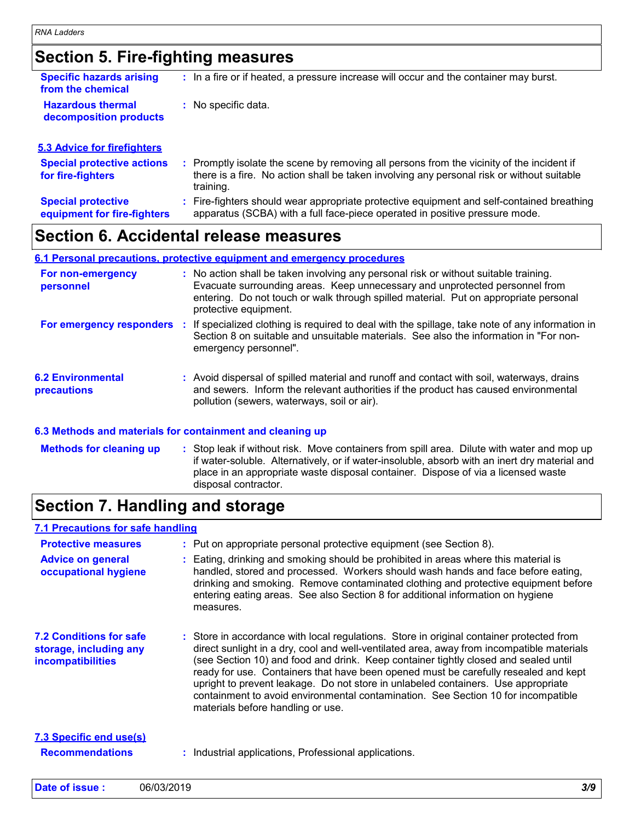**5.3 Advice for firefighters**

## **Section 5. Fire-fighting measures**

| <b>Specific hazards arising</b><br>from the chemical | : In a fire or if heated, a pressure increase will occur and the container may burst. |
|------------------------------------------------------|---------------------------------------------------------------------------------------|
| <b>Hazardous thermal</b><br>decomposition products   | : No specific data.                                                                   |

| <b>Special protective actions</b><br>for fire-fighters   | : Promptly isolate the scene by removing all persons from the vicinity of the incident if<br>there is a fire. No action shall be taken involving any personal risk or without suitable<br>training. |
|----------------------------------------------------------|-----------------------------------------------------------------------------------------------------------------------------------------------------------------------------------------------------|
| <b>Special protective</b><br>equipment for fire-fighters | : Fire-fighters should wear appropriate protective equipment and self-contained breathing<br>apparatus (SCBA) with a full face-piece operated in positive pressure mode.                            |

## **Section 6. Accidental release measures**

|                                         |     | 6.1 Personal precautions, protective equipment and emergency procedures                                                                                                                                                                                                              |
|-----------------------------------------|-----|--------------------------------------------------------------------------------------------------------------------------------------------------------------------------------------------------------------------------------------------------------------------------------------|
| For non-emergency<br>personnel          |     | : No action shall be taken involving any personal risk or without suitable training.<br>Evacuate surrounding areas. Keep unnecessary and unprotected personnel from<br>entering. Do not touch or walk through spilled material. Put on appropriate personal<br>protective equipment. |
| For emergency responders                | -11 | If specialized clothing is required to deal with the spillage, take note of any information in<br>Section 8 on suitable and unsuitable materials. See also the information in "For non-<br>emergency personnel".                                                                     |
| <b>6.2 Environmental</b><br>precautions |     | : Avoid dispersal of spilled material and runoff and contact with soil, waterways, drains<br>and sewers. Inform the relevant authorities if the product has caused environmental<br>pollution (sewers, waterways, soil or air).                                                      |

### **6.3 Methods and materials for containment and cleaning up**

Stop leak if without risk. Move containers from spill area. Dilute with water and mop up if water-soluble. Alternatively, or if water-insoluble, absorb with an inert dry material and place in an appropriate waste disposal container. Dispose of via a licensed waste disposal contractor. **Methods for cleaning up :**

## **Section 7. Handling and storage**

### **7.1 Precautions for safe handling**

| <b>Protective measures</b>                                                    | : Put on appropriate personal protective equipment (see Section 8).                                                                                                                                                                                                                                                                                                                                                                                                                                                                                                                |  |
|-------------------------------------------------------------------------------|------------------------------------------------------------------------------------------------------------------------------------------------------------------------------------------------------------------------------------------------------------------------------------------------------------------------------------------------------------------------------------------------------------------------------------------------------------------------------------------------------------------------------------------------------------------------------------|--|
| <b>Advice on general</b><br>occupational hygiene                              | : Eating, drinking and smoking should be prohibited in areas where this material is<br>handled, stored and processed. Workers should wash hands and face before eating,<br>drinking and smoking. Remove contaminated clothing and protective equipment before<br>entering eating areas. See also Section 8 for additional information on hygiene<br>measures.                                                                                                                                                                                                                      |  |
| <b>7.2 Conditions for safe</b><br>storage, including any<br>incompatibilities | : Store in accordance with local regulations. Store in original container protected from<br>direct sunlight in a dry, cool and well-ventilated area, away from incompatible materials<br>(see Section 10) and food and drink. Keep container tightly closed and sealed until<br>ready for use. Containers that have been opened must be carefully resealed and kept<br>upright to prevent leakage. Do not store in unlabeled containers. Use appropriate<br>containment to avoid environmental contamination. See Section 10 for incompatible<br>materials before handling or use. |  |
| 7.3 Specific end use(s)<br><b>Recommendations</b>                             | Industrial applications, Professional applications.                                                                                                                                                                                                                                                                                                                                                                                                                                                                                                                                |  |
|                                                                               |                                                                                                                                                                                                                                                                                                                                                                                                                                                                                                                                                                                    |  |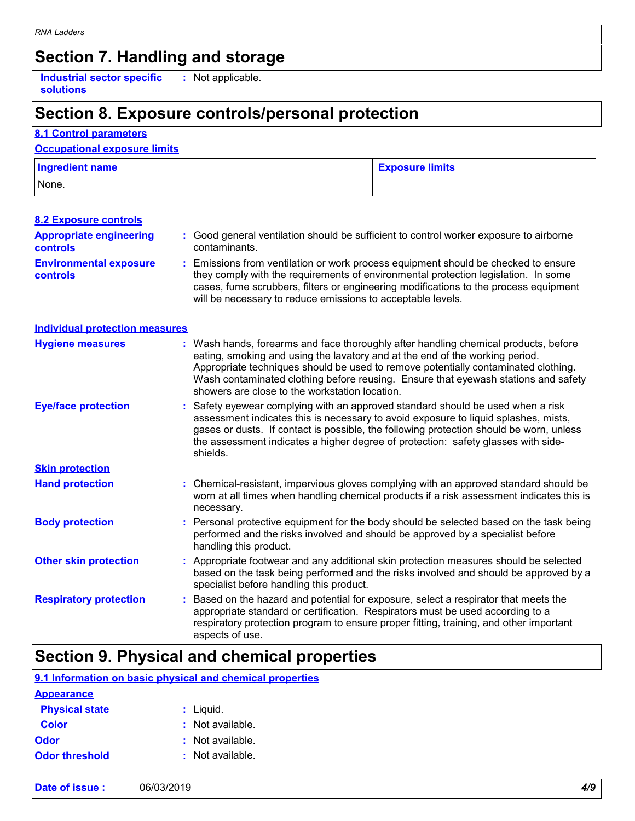## **Section 7. Handling and storage**

**Industrial sector specific :** Not applicable. **solutions**

## **Section 8. Exposure controls/personal protection**

### **8.1 Control parameters**

### **Occupational exposure limits**

| <b>Ingredient name</b> | <b>Exposure limits</b> |
|------------------------|------------------------|
| None.                  |                        |

| <b>8.2 Exposure controls</b>                      |                                                                                                                                                                                                                                                                                                                                                                                                   |
|---------------------------------------------------|---------------------------------------------------------------------------------------------------------------------------------------------------------------------------------------------------------------------------------------------------------------------------------------------------------------------------------------------------------------------------------------------------|
| <b>Appropriate engineering</b><br><b>controls</b> | : Good general ventilation should be sufficient to control worker exposure to airborne<br>contaminants.                                                                                                                                                                                                                                                                                           |
| <b>Environmental exposure</b><br><b>controls</b>  | Emissions from ventilation or work process equipment should be checked to ensure<br>they comply with the requirements of environmental protection legislation. In some<br>cases, fume scrubbers, filters or engineering modifications to the process equipment<br>will be necessary to reduce emissions to acceptable levels.                                                                     |
| <b>Individual protection measures</b>             |                                                                                                                                                                                                                                                                                                                                                                                                   |
| <b>Hygiene measures</b>                           | : Wash hands, forearms and face thoroughly after handling chemical products, before<br>eating, smoking and using the lavatory and at the end of the working period.<br>Appropriate techniques should be used to remove potentially contaminated clothing.<br>Wash contaminated clothing before reusing. Ensure that eyewash stations and safety<br>showers are close to the workstation location. |
| <b>Eye/face protection</b>                        | Safety eyewear complying with an approved standard should be used when a risk<br>assessment indicates this is necessary to avoid exposure to liquid splashes, mists,<br>gases or dusts. If contact is possible, the following protection should be worn, unless<br>the assessment indicates a higher degree of protection: safety glasses with side-<br>shields.                                  |
| <b>Skin protection</b>                            |                                                                                                                                                                                                                                                                                                                                                                                                   |
| <b>Hand protection</b>                            | : Chemical-resistant, impervious gloves complying with an approved standard should be<br>worn at all times when handling chemical products if a risk assessment indicates this is<br>necessary.                                                                                                                                                                                                   |
| <b>Body protection</b>                            | Personal protective equipment for the body should be selected based on the task being<br>performed and the risks involved and should be approved by a specialist before<br>handling this product.                                                                                                                                                                                                 |
| <b>Other skin protection</b>                      | Appropriate footwear and any additional skin protection measures should be selected<br>based on the task being performed and the risks involved and should be approved by a<br>specialist before handling this product.                                                                                                                                                                           |
| <b>Respiratory protection</b>                     | Based on the hazard and potential for exposure, select a respirator that meets the<br>appropriate standard or certification. Respirators must be used according to a<br>respiratory protection program to ensure proper fitting, training, and other important<br>aspects of use.                                                                                                                 |

# **Section 9. Physical and chemical properties**

### **9.1 Information on basic physical and chemical properties**

| <b>Appearance</b>     |                  |
|-----------------------|------------------|
| <b>Physical state</b> | $:$ Liquid.      |
| <b>Color</b>          | : Not available. |
| <b>Odor</b>           | : Not available. |
| <b>Odor threshold</b> | : Not available. |

| Date of issue : | <i>A 1</i> 0 |
|-----------------|--------------|
| 06/03/2019      | 77 J         |
|                 | $\sim$       |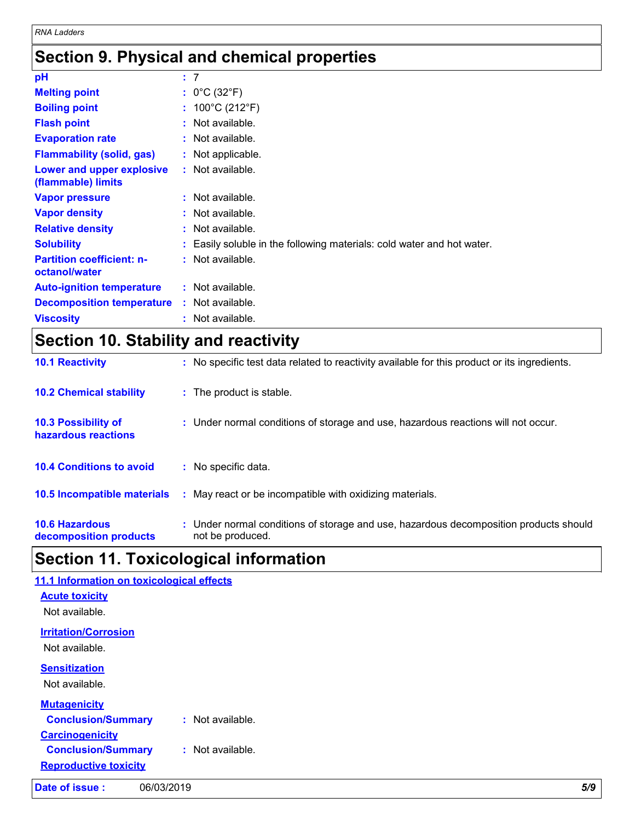# **Section 9. Physical and chemical properties**

| pH                                                | : 7 |                                                                      |
|---------------------------------------------------|-----|----------------------------------------------------------------------|
| <b>Melting point</b>                              |     | : $0^{\circ}$ C (32 $^{\circ}$ F)                                    |
| <b>Boiling point</b>                              |     | : $100^{\circ}$ C (212 $^{\circ}$ F)                                 |
| <b>Flash point</b>                                |     | $:$ Not available.                                                   |
| <b>Evaporation rate</b>                           |     | $:$ Not available.                                                   |
| <b>Flammability (solid, gas)</b>                  |     | : Not applicable.                                                    |
| Lower and upper explosive<br>(flammable) limits   |     | $:$ Not available.                                                   |
| <b>Vapor pressure</b>                             |     | : Not available.                                                     |
| <b>Vapor density</b>                              |     | : Not available.                                                     |
| <b>Relative density</b>                           |     | $:$ Not available.                                                   |
| <b>Solubility</b>                                 |     | Easily soluble in the following materials: cold water and hot water. |
| <b>Partition coefficient: n-</b><br>octanol/water |     | : Not available.                                                     |
| <b>Auto-ignition temperature</b>                  |     | $:$ Not available.                                                   |
| <b>Decomposition temperature</b>                  |     | : Not available.                                                     |
| <b>Viscosity</b>                                  |     | $:$ Not available.                                                   |

# **Section 10. Stability and reactivity**

| <b>10.6 Hazardous</b><br>decomposition products   | : Under normal conditions of storage and use, hazardous decomposition products should<br>not be produced. |
|---------------------------------------------------|-----------------------------------------------------------------------------------------------------------|
| 10.5 Incompatible materials                       | : May react or be incompatible with oxidizing materials.                                                  |
| <b>10.4 Conditions to avoid</b>                   | : No specific data.                                                                                       |
| <b>10.3 Possibility of</b><br>hazardous reactions | : Under normal conditions of storage and use, hazardous reactions will not occur.                         |
| <b>10.2 Chemical stability</b>                    | : The product is stable.                                                                                  |
| <b>10.1 Reactivity</b>                            | : No specific test data related to reactivity available for this product or its ingredients.              |

# **Section 11. Toxicological information**

| Date of issue:<br>06/03/2019                  | 5/9 |
|-----------------------------------------------|-----|
| <b>Reproductive toxicity</b>                  |     |
| <b>Conclusion/Summary</b><br>: Not available. |     |
| <b>Carcinogenicity</b>                        |     |
| <b>Conclusion/Summary</b><br>: Not available. |     |
| <b>Mutagenicity</b>                           |     |
| Not available.                                |     |
| <b>Sensitization</b>                          |     |
| Not available.                                |     |
| <b>Irritation/Corrosion</b>                   |     |
| Not available.                                |     |
| <b>Acute toxicity</b>                         |     |
|                                               |     |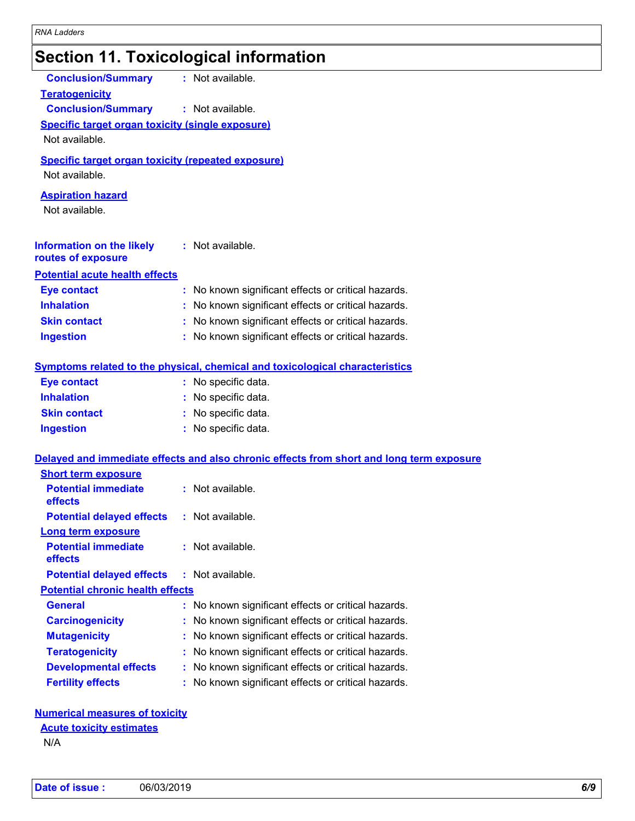# **Section 11. Toxicological information**

| <b>Conclusion/Summary</b>                                 | : Not available.                                                                         |
|-----------------------------------------------------------|------------------------------------------------------------------------------------------|
| <b>Teratogenicity</b>                                     |                                                                                          |
| <b>Conclusion/Summary</b>                                 | : Not available.                                                                         |
| <b>Specific target organ toxicity (single exposure)</b>   |                                                                                          |
| Not available.                                            |                                                                                          |
| <b>Specific target organ toxicity (repeated exposure)</b> |                                                                                          |
| Not available.                                            |                                                                                          |
| <b>Aspiration hazard</b>                                  |                                                                                          |
| Not available.                                            |                                                                                          |
|                                                           |                                                                                          |
| <b>Information on the likely</b>                          | : Not available.                                                                         |
| routes of exposure                                        |                                                                                          |
| <b>Potential acute health effects</b>                     |                                                                                          |
| <b>Eye contact</b>                                        | : No known significant effects or critical hazards.                                      |
| <b>Inhalation</b>                                         | : No known significant effects or critical hazards.                                      |
| <b>Skin contact</b>                                       | : No known significant effects or critical hazards.                                      |
| <b>Ingestion</b>                                          | : No known significant effects or critical hazards.                                      |
|                                                           |                                                                                          |
|                                                           | <b>Symptoms related to the physical, chemical and toxicological characteristics</b>      |
| <b>Eye contact</b>                                        | : No specific data.                                                                      |
| <b>Inhalation</b>                                         | : No specific data.                                                                      |
| <b>Skin contact</b>                                       | : No specific data.                                                                      |
| <b>Ingestion</b>                                          | : No specific data.                                                                      |
|                                                           |                                                                                          |
|                                                           | Delayed and immediate effects and also chronic effects from short and long term exposure |
| <b>Short term exposure</b><br><b>Potential immediate</b>  | : Not available.                                                                         |
| effects                                                   |                                                                                          |
| <b>Potential delayed effects</b>                          | : Not available.                                                                         |
| Long term exposure                                        |                                                                                          |
| <b>Potential immediate</b>                                | : Not available.                                                                         |
| effects                                                   |                                                                                          |
| <b>Potential delayed effects</b>                          | $:$ Not available.                                                                       |
| <b>Potential chronic health effects</b>                   |                                                                                          |
| <b>General</b>                                            | : No known significant effects or critical hazards.                                      |
| <b>Carcinogenicity</b>                                    | No known significant effects or critical hazards.                                        |
| <b>Mutagenicity</b>                                       | No known significant effects or critical hazards.                                        |
| <b>Teratogenicity</b>                                     | No known significant effects or critical hazards.                                        |
| <b>Developmental effects</b>                              | No known significant effects or critical hazards.                                        |
| <b>Fertility effects</b>                                  | No known significant effects or critical hazards.                                        |
|                                                           |                                                                                          |
| <b>Numerical measures of toxicity</b>                     |                                                                                          |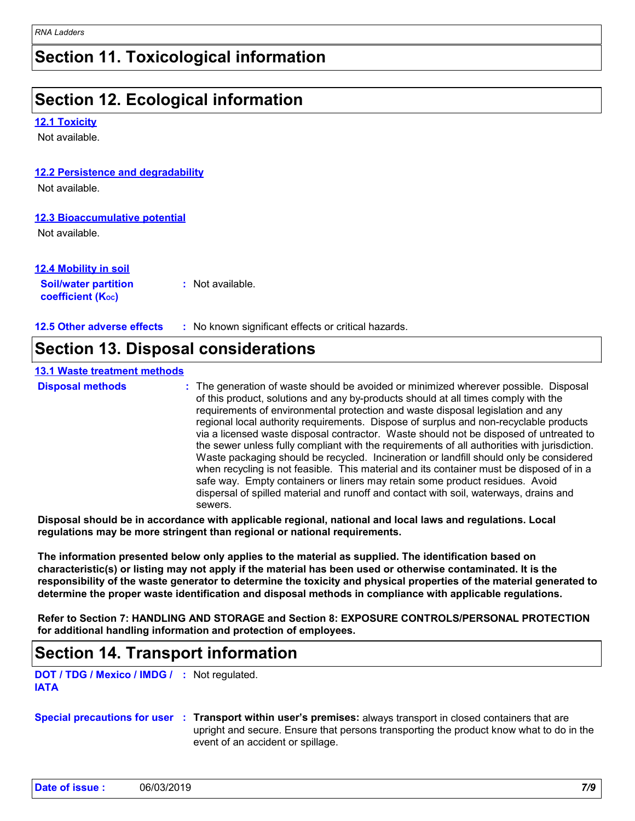## **Section 11. Toxicological information**

## **Section 12. Ecological information**

### **12.1 Toxicity**

Not available.

### **12.2 Persistence and degradability**

Not available.

### **12.3 Bioaccumulative potential**

Not available.

### **12.4 Mobility in soil**

**Soil/water partition coefficient (KOC) :** Not available.

**12.5 Other adverse effects :** No known significant effects or critical hazards.

## **Section 13. Disposal considerations**

### **13.1 Waste treatment methods**

|  | <b>Disposal metho</b> |
|--|-----------------------|
|  |                       |

**Disposal methods** : The generation of waste should be avoided or minimized wherever possible. Disposal of this product, solutions and any by-products should at all times comply with the requirements of environmental protection and waste disposal legislation and any regional local authority requirements. Dispose of surplus and non-recyclable products via a licensed waste disposal contractor. Waste should not be disposed of untreated to the sewer unless fully compliant with the requirements of all authorities with jurisdiction. Waste packaging should be recycled. Incineration or landfill should only be considered when recycling is not feasible. This material and its container must be disposed of in a safe way. Empty containers or liners may retain some product residues. Avoid dispersal of spilled material and runoff and contact with soil, waterways, drains and sewers.

**Disposal should be in accordance with applicable regional, national and local laws and regulations. Local regulations may be more stringent than regional or national requirements.**

**The information presented below only applies to the material as supplied. The identification based on characteristic(s) or listing may not apply if the material has been used or otherwise contaminated. It is the responsibility of the waste generator to determine the toxicity and physical properties of the material generated to determine the proper waste identification and disposal methods in compliance with applicable regulations.**

**Refer to Section 7: HANDLING AND STORAGE and Section 8: EXPOSURE CONTROLS/PERSONAL PROTECTION for additional handling information and protection of employees.**

## **Section 14. Transport information**

**DOT / TDG / Mexico / IMDG / :** Not regulated. **IATA**

### **Special precautions for user Transport within user's premises:** always transport in closed containers that are **:** upright and secure. Ensure that persons transporting the product know what to do in the event of an accident or spillage.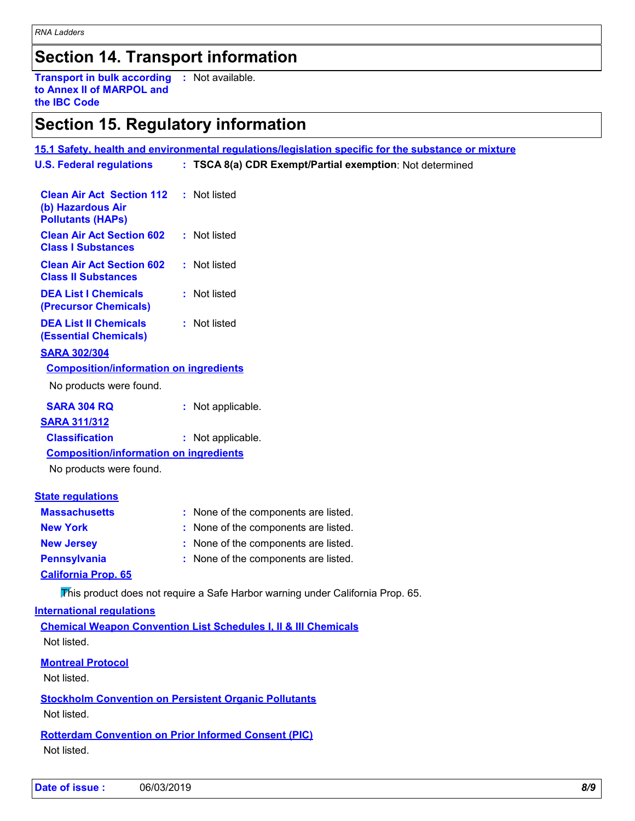## **Section 14. Transport information**

**Transport in bulk according :** Not available. **to Annex II of MARPOL and the IBC Code**

# **Section 15. Regulatory information**

|                                                                                   | 15.1 Safety, health and environmental regulations/legislation specific for the substance or mixture |
|-----------------------------------------------------------------------------------|-----------------------------------------------------------------------------------------------------|
| <b>U.S. Federal regulations</b>                                                   | : TSCA 8(a) CDR Exempt/Partial exemption: Not determined                                            |
|                                                                                   |                                                                                                     |
| <b>Clean Air Act Section 112</b><br>(b) Hazardous Air<br><b>Pollutants (HAPs)</b> | : Not listed                                                                                        |
| <b>Clean Air Act Section 602</b><br><b>Class I Substances</b>                     | : Not listed                                                                                        |
| <b>Clean Air Act Section 602</b><br><b>Class II Substances</b>                    | : Not listed                                                                                        |
| <b>DEA List I Chemicals</b><br>(Precursor Chemicals)                              | : Not listed                                                                                        |
| <b>DEA List II Chemicals</b><br><b>(Essential Chemicals)</b>                      | : Not listed                                                                                        |
| <b>SARA 302/304</b>                                                               |                                                                                                     |
| <b>Composition/information on ingredients</b>                                     |                                                                                                     |
| No products were found.                                                           |                                                                                                     |
| <b>SARA 304 RQ</b>                                                                | : Not applicable.                                                                                   |
| <b>SARA 311/312</b>                                                               |                                                                                                     |
| <b>Classification</b>                                                             | : Not applicable.                                                                                   |
| <b>Composition/information on ingredients</b>                                     |                                                                                                     |
| No products were found.                                                           |                                                                                                     |
| <b>State regulations</b>                                                          |                                                                                                     |
| <b>Massachusetts</b>                                                              | : None of the components are listed.                                                                |
| <b>New York</b>                                                                   | : None of the components are listed.                                                                |
| <b>New Jersey</b>                                                                 | : None of the components are listed.                                                                |
| <b>Pennsylvania</b>                                                               | : None of the components are listed.                                                                |
| <b>California Prop. 65</b>                                                        |                                                                                                     |
|                                                                                   | This product does not require a Safe Harbor warning under California Prop. 65.                      |
| <b>International requlations</b>                                                  |                                                                                                     |
|                                                                                   | <b>Chemical Weapon Convention List Schedules I, II &amp; III Chemicals</b>                          |
| Not listed.                                                                       |                                                                                                     |
| <b>Montreal Protocol</b><br>Not listed.                                           |                                                                                                     |
| Not listed.                                                                       | <b>Stockholm Convention on Persistent Organic Pollutants</b>                                        |
| Not listed.                                                                       | <b>Rotterdam Convention on Prior Informed Consent (PIC)</b>                                         |